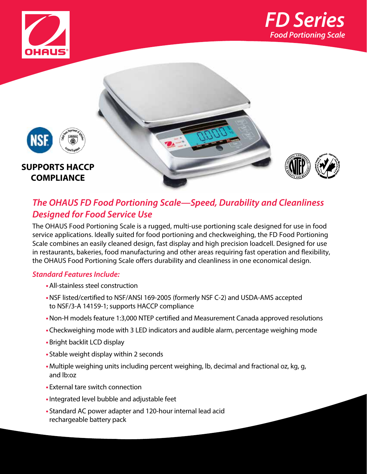





## *The OHAUS FD Food Portioning Scale—Speed, Durability and Cleanliness Designed for Food Service Use*

The OHAUS Food Portioning Scale is a rugged, multi-use portioning scale designed for use in food service applications. Ideally suited for food portioning and checkweighing, the FD Food Portioning Scale combines an easily cleaned design, fast display and high precision loadcell. Designed for use in restaurants, bakeries, food manufacturing and other areas requiring fast operation and flexibility, the OHAUS Food Portioning Scale offers durability and cleanliness in one economical design.

### *Standard Features Include:*

- **•**All-stainless steel construction
- **•**NSF listed/certified to NSF/ANSI 169-2005 (formerly NSF C-2) and USDA-AMS accepted to NSF/3-A 14159-1; supports HACCP compliance
- **•**Non-H models feature 1:3,000 NTEP certified and Measurement Canada approved resolutions
- **•**Checkweighing mode with 3 LED indicators and audible alarm, percentage weighing mode
- **•**Bright backlit LCD display
- **•** Stable weight display within 2 seconds
- **•** Multiple weighing units including percent weighing, lb, decimal and fractional oz, kg, g, and lb:oz
- **•** External tare switch connection
- **•**Integrated level bubble and adjustable feet
- **•** Standard AC power adapter and 120-hour internal lead acid rechargeable battery pack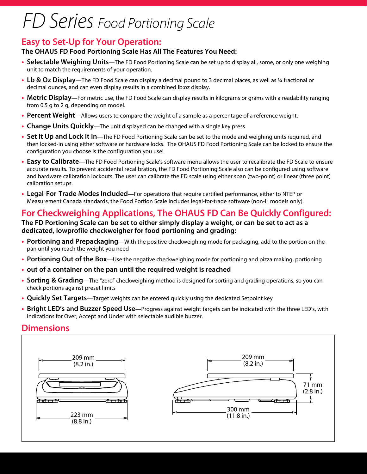# *FD Series Food Portioning Scale*

## **Easy to Set-Up for Your Operation:**

#### **The OHAUS FD Food Portioning Scale Has All The Features You Need:**

- **• Selectable Weighing Units**—The FD Food Portioning Scale can be set up to display all, some, or only one weighing unit to match the requirements of your operation.
- **• Lb & Oz Display**—The FD Food Scale can display a decimal pound to 3 decimal places, as well as 1/4 fractional or decimal ounces, and can even display results in a combined lb:oz display.
- **• Metric Display**—For metric use, the FD Food Scale can display results in kilograms or grams with a readability ranging from 0.5 g to 2 g, depending on model.
- **• Percent Weight**—Allows users to compare the weight of a sample as a percentage of a reference weight.
- **• Change Units Quickly**—The unit displayed can be changed with a single key press
- **• Set It Up and Lock It In**—The FD Food Portioning Scale can be set to the mode and weighing units required, and then locked-in using either software or hardware locks. The OHAUS FD Food Portioning Scale can be locked to ensure the configuration you choose is the configuration you use!
- **• Easy to Calibrate**—The FD Food Portioning Scale's software menu allows the user to recalibrate the FD Scale to ensure accurate results. To prevent accidental recalibration, the FD Food Portioning Scale also can be configured using software and hardware calibration lockouts. The user can calibrate the FD scale using either span (two-point) or linear (three point) calibration setups.
- **• Legal-For-Trade Modes Included**—For operations that require certified performance, either to NTEP or Measurement Canada standards, the Food Portion Scale includes legal-for-trade software (non-H models only).

## **For Checkweighing Applications, The OHAUS FD Can Be Quickly Configured:**

#### **The FD Portioning Scale can be set to either simply display a weight, or can be set to act as a dedicated, lowprofile checkweigher for food portioning and grading:**

- **• Portioning and Prepackaging**—With the positive checkweighing mode for packaging, add to the portion on the pan until you reach the weight you need
- **• Portioning Out of the Box**—Use the negative checkweighing mode for portioning and pizza making, portioning
- **• out of a container on the pan until the required weight is reached**
- **• Sorting & Grading**—The "zero" checkweighing method is designed for sorting and grading operations, so you can check portions against preset limits
- **• Quickly Set Targets**—Target weights can be entered quickly using the dedicated Setpoint key
- **• Bright LED's and Buzzer Speed Use**—Progress against weight targets can be indicated with the three LED's, with indications for Over, Accept and Under with selectable audible buzzer.

### **Dimensions**

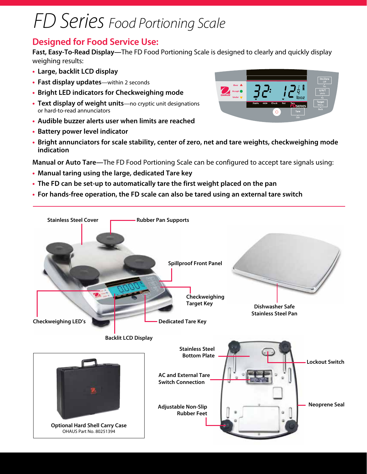# *FD Series Food Portioning Scale*

### **Designed for Food Service Use:**

**Fast, Easy-To-Read Display—**The FD Food Portioning Scale is designed to clearly and quickly display weighing results:

- **• Large, backlit LCD display**
- **• Fast display updates**—within 2 seconds
- **• Bright LED indicators for Checkweighing mode**
- **• Text display of weight units**—no cryptic unit designations or hard-to-read annunciators
- **• Audible buzzer alerts user when limits are reached**
- **• Battery power level indicator**
- **• Bright annunciators for scale stability, center of zero, net and tare weights, checkweighing mode indication**

**Manual or Auto Tare—**The FD Food Portioning Scale can be configured to accept tare signals using:

- **• Manual taring using the large, dedicated Tare key**
- **• The FD can be set-up to automatically tare the first weight placed on the pan**
- **• For hands-free operation, the FD scale can also be tared using an external tare switch**